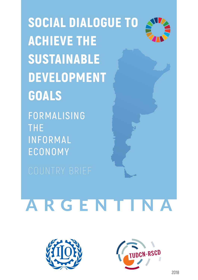SOCIAL DIALOGUE TO ACHIEVE THE SUSTAINABLE DEVELOPMENT GOALS

**FORMALISING THE INFORMAL ECONOMY**

# **ARGENTINA**



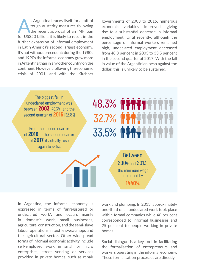s Argentina braces itself for a raft of<br>tough austerity measures following<br>the recent approval of an IMF loan tough austerity measures following the recent approval of an IMF loan for US\$50 billion, it is likely to result in the further expansion of informal employment in Latin America's second largest economy. It's not without precedent: during the 1980s and 1990s the informal economy grew more in Argentina than in any other country on the continent. However, following the economic crisis of 2001, and with the Kirchner

governments of 2003 to 2015, numerous economic variables improved, giving rise to a substantial decrease in informal employment. Until recently, although the percentage of informal workers remained high, undeclared employment decreased from 48.3 per cent in 2003 to 33.5 per cent in the second quarter of 2017. With the fall in value of the Argentinian peso against the dollar, this is unlikely to be sustained.

The biggest fall in undeclared employment was between **2003** (48.3%) and the second quarter of **2016** (32.7%)

From the second quarter of **2016** to the second quarter of **2017**, it actually rose again to 33.5%

**Between 2004** and **2013,** the minimum wage increased by **1440%**

**48.3%**

**32.7%**

**33.5%**

In Argentina, the informal economy is expressed in terms of "unregistered or undeclared work", and occurs mainly in domestic work, small businesses, agriculture, construction, and the semi-slave labour operations in textile sweatshops and the agricultural sector. Other widespread forms of informal economic activity include self-employed work in small or micro enterprises, street vending or services provided in private homes, such as repair

work and plumbing. In 2013, approximately one-third of all undeclared work took place within formal companies while 40 per cent corresponded to informal businesses and 25 per cent to people working in private homes.

Social dialogue is a key tool in facilitating the formalisation of entrepreneurs and workers operating in the informal economy. These formalisation processes are directly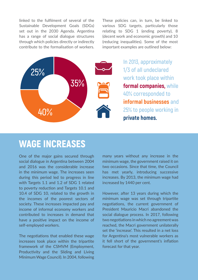linked to the fulfilment of several of the Sustainable Development Goals (SDGs) set out in the 2030 Agenda. Argentina has a range of social dialogue structures through which policies directly or indirectly contribute to the formalisation of workers. These policies can, in turn, be linked to various SDG targets, particularly those relating to SDG 1 (ending poverty), 8 (decent work and economic growth) and 10 (reducing inequalities). Some of the most important examples are outlined below:



**In 2013, approximately 1/3 of all undeclared work took place within formal companies, while 40% corresponded to informal businesses and 25% to people working in private homes.**

## WAGE INCREASES

One of the major gains secured through social dialogue in Argentina between 2004 and 2016 was the considerable increase in the minimum wage. The increases seen during this period led to progress in line with Targets 1.1 and 1.2 of SDG 1 related to poverty reduction and Targets 10.1 and 10.4 of SDG 10, related to the growth in the incomes of the poorest sectors of society. These increases impacted pay and income of informal economy workers and contributed to increases in demand that have a positive impact on the income of self-employed workers.

The negotiations that enabled these wage increases took place within the tripartite framework of the CSMVM (Employment, Productivity and the Sliding and Living Minimum Wage Council). In 2004, following

many years without any increase in the minimum wage, the government raised it on two occasions. Since that time, the Council has met yearly, introducing successive increases. By 2013, the minimum wage had increased by 1440 per cent.

However, after 13 years during which the minimum wage was set through tripartite negotiations, the current government of President Mauricio Macri abandoned the social dialogue process. In 2017, following two negotiations in which no agreement was reached, the Macri government unilaterally set the 'increase'. This resulted in a net loss for Argentina's most vulnerable workers as it fell short of the government's inflation forecast for that year.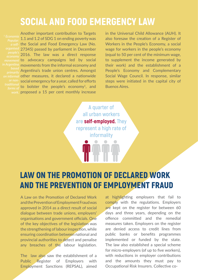## SOCIAL AND FOOD EMERGENCY LAW

Another important contribution to Targets 1.1 and 1.2 of SDG 1 on ending poverty was a self- the Social and Food Emergency Law (No. 27345) passed by parliament in December *organised*  2016. The law was a direct response *people's*  movement to advocacy campaigns led by social *in Argentina* movements from the informal economy and Argentina's trade union centres. Amongst *based*  on informal other measures, it declared a nationwide social emergency for a year, called for efforts *or non*traditional to bolster the people's economy<sup>1</sup>, and work. proposed a 15 per cent monthly increase

in the Universal Child Allowance (AUH). It also foresaw the creation of a Register of Workers in the People's Economy, a social wage for workers in the people's economy (equal to 50 per cent of the minimum wage, to supplement the income generated by their work) and the establishment of a People's Economy and Complementary Social Wage Council. In response, similar steps were initiated in the capital city of Buenos Aires.

**A quarter of all urban workers are self-employed. They represent a high rate of informality**

#### LAW ON THE PROMOTION OF DECLARED WORK AND THE PREVENTION OF EMPLOYMENT FRAUD

A Law on the Promotion of Declared Work and the Prevention of Employment Fraud was approved in 2014 as a direct result of social dialogue between trade unions, employers' organisations and government officials. One of the key objectives of the legislation was the strengthening of labour inspection, while ensuring coordination between national and provincial authorities to detect and penalise any breaches of the labour legislation.

The law also saw the establishment of a Public Register of Employers with Employment Sanctions (REPSAL), aimed

at highlighting employers that fail to comply with the regulations. Employers are kept on the register for between 60 days and three years, depending on the offence committed and the remedial measures taken. Employers on the register are denied access to credit lines from public banks or benefits programmes implemented or funded by the state. The law also established a special scheme for micro-employers (of up to five workers), with reductions in employer contributions and the amounts they must pay to Occupational Risk Insurers. Collective co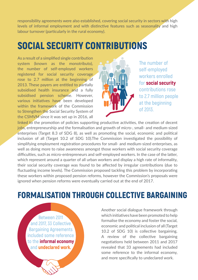responsibility agreements were also established, covering social security in sectors with high levels of informal employment and with distinctive features such as seasonality and high labour turnover (particularly in the rural economy).

# SOCIAL SECURITY CONTRIBUTIONS

As a result of a simplified single contribution system (known as the monotributo), the number of self-employed workers registered for social security coverage rose to 2.7 million at the beginning of 2013. These payers are entitled to partially subsidised health insurance and a fully subsidised pension scheme. However, various initiatives have been developed within the framework of the Commission to Strengthen the Social Security System of the CSMVM since it was set up in 2016, all



**The number of self-employed workers enrolled for social security contributions rose to 2.7 million people at the beginning of 2013.**

linked to the promotion of policies supporting productive activities, the creation of decent jobs, entrepreneurship and the formalisation and growth of micro-, small- and medium-sized enterprises (Target 8.3 of SDG 8), as well as promoting the social, economic and political inclusion of all (Target 10.2 of SDG 10).The Commission investigated the possibility of simplifying employment registration procedures for small- and medium-sized enterprises, as well as doing more to raise awareness amongst those workers with social security coverage difficulties, such as micro-entrepreneurs and self-employed workers. In the case of the latter, which represent around a quarter of all urban workers and display a high rate of informality, their social security coverage was found to be affected by irregular contributions (due to fluctuating income levels). The Commission proposed tackling this problem by incorporating these workers within proposed pension reforms, however the Commission's proposals were ignored when pension reforms were eventually carried out at the end of 2017.

## FORMALISATION THROUGH COLLECTIVE BARGAINING

**Between 2011 and 2017, 33 Collective Bargaining Agreements included some reference to the informal economy and undeclared work.**

Another social dialogue framework through which initiatives have been promoted to help formalise the economy and foster the social, economic and political inclusion of all (Target 10.2 of SDG 10) is collective bargaining. A review of the collective bargaining negotiations held between 2011 and 2017 revealed that 33 agreements had included some reference to the informal economy, and more specifically to undeclared work.